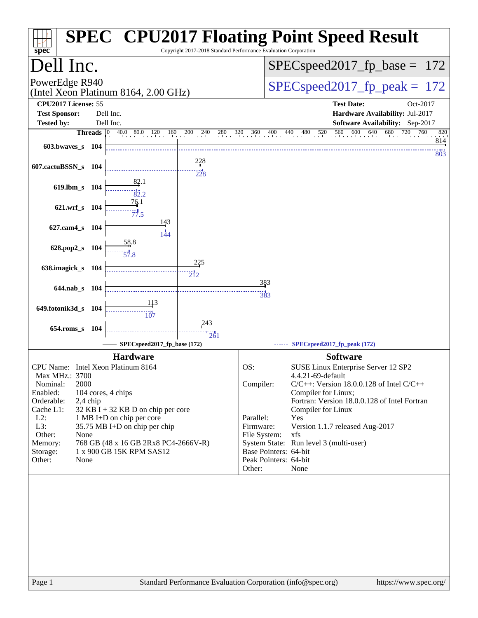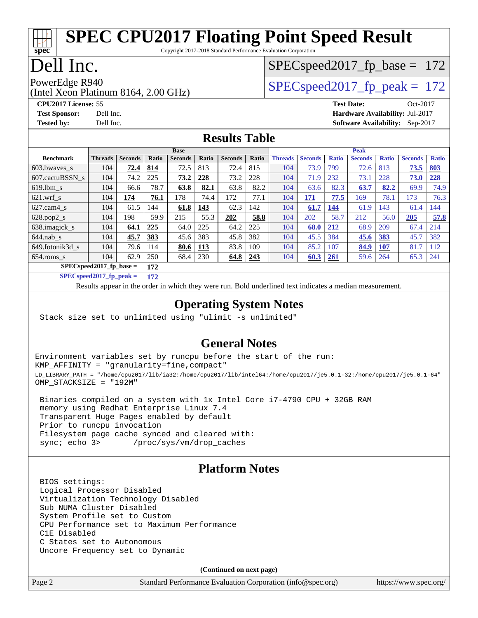# **[SPEC CPU2017 Floating Point Speed Result](http://www.spec.org/auto/cpu2017/Docs/result-fields.html#SPECCPU2017FloatingPointSpeedResult)**

Copyright 2017-2018 Standard Performance Evaluation Corporation

## Dell Inc.

**[spec](http://www.spec.org/)**

## SPECspeed2017 fp base =  $172$

(Intel Xeon Platinum 8164, 2.00 GHz) PowerEdge R940<br>  $SPEC speed2017$  fp  $peak = 172$ 

**[Tested by:](http://www.spec.org/auto/cpu2017/Docs/result-fields.html#Testedby)** Dell Inc. **[Software Availability:](http://www.spec.org/auto/cpu2017/Docs/result-fields.html#SoftwareAvailability)** Sep-2017

**[CPU2017 License:](http://www.spec.org/auto/cpu2017/Docs/result-fields.html#CPU2017License)** 55 **[Test Date:](http://www.spec.org/auto/cpu2017/Docs/result-fields.html#TestDate)** Oct-2017 **[Test Sponsor:](http://www.spec.org/auto/cpu2017/Docs/result-fields.html#TestSponsor)** Dell Inc. **[Hardware Availability:](http://www.spec.org/auto/cpu2017/Docs/result-fields.html#HardwareAvailability)** Jul-2017

#### **[Results Table](http://www.spec.org/auto/cpu2017/Docs/result-fields.html#ResultsTable)**

|                                  | <b>Base</b>    |                |              |                |              | <b>Peak</b>    |       |                |                |              |                |              |                |              |
|----------------------------------|----------------|----------------|--------------|----------------|--------------|----------------|-------|----------------|----------------|--------------|----------------|--------------|----------------|--------------|
| <b>Benchmark</b>                 | <b>Threads</b> | <b>Seconds</b> | <b>Ratio</b> | <b>Seconds</b> | <b>Ratio</b> | <b>Seconds</b> | Ratio | <b>Threads</b> | <b>Seconds</b> | <b>Ratio</b> | <b>Seconds</b> | <b>Ratio</b> | <b>Seconds</b> | <b>Ratio</b> |
| $603.bwaves$ s                   | 104            | 72.4           | 814          | 72.5           | 813          | 72.4           | 815   | 104            | 73.9           | 799          | 72.6           | 813          | 73.5           | <u>803</u>   |
| 607.cactuBSSN s                  | 104            | 74.2           | 225          | 73.2           | 228          | 73.2           | 228   | 104            | 71.9           | 232          | 73.1           | 228          | 73.0           | 228          |
| $619.1$ bm s                     | 104            | 66.6           | 78.7         | 63.8           | 82.1         | 63.8           | 82.2  | 104            | 63.6           | 82.3         | 63.7           | 82.2         | 69.9           | 74.9         |
| $621$ .wrf s                     | 104            | 174            | 76.1         | 178            | 74.4         | 172            | 77.1  | 104            | 171            | 77.5         | 169            | 78.1         | 173            | 76.3         |
| $627$ .cam $4 \text{ s}$         | 104            | 61.5           | 144          | 61.8           | 143          | 62.3           | 142   | 104            | 61.7           | 144          | 61.9           | 143          | 61.4           | 144          |
| $628.pop2_s$                     | 104            | 198            | 59.9         | 215            | 55.3         | 202            | 58.8  | 104            | 202            | 58.7         | 212            | 56.0         | 205            | 57.8         |
| 638.imagick_s                    | 104            | 64.1           | 225          | 64.0           | 225          | 64.2           | 225   | 104            | 68.0           | 212          | 68.9           | 209          | 67.4           | 214          |
| $644$ .nab s                     | 104            | 45.7           | 383          | 45.6           | 383          | 45.8           | 382   | 104            | 45.5           | 384          | 45.6           | 383          | 45.7           | 382          |
| 649.fotonik3d s                  | 104            | 79.6           | 114          | 80.6           | 113          | 83.8           | 109   | 104            | 85.2           | 107          | 84.9           | 107          | 81.7           | 112          |
| $654$ .roms s                    | 104            | 62.9           | 250          | 68.4           | 230          | 64.8           | 243   | 104            | 60.3           | <b>261</b>   | 59.6           | 264          | 65.3           | 241          |
| $SPECspeed2017$ fp base =<br>172 |                |                |              |                |              |                |       |                |                |              |                |              |                |              |

**[SPECspeed2017\\_fp\\_peak =](http://www.spec.org/auto/cpu2017/Docs/result-fields.html#SPECspeed2017fppeak) 172**

Results appear in the [order in which they were run.](http://www.spec.org/auto/cpu2017/Docs/result-fields.html#RunOrder) Bold underlined text [indicates a median measurement](http://www.spec.org/auto/cpu2017/Docs/result-fields.html#Median).

#### **[Operating System Notes](http://www.spec.org/auto/cpu2017/Docs/result-fields.html#OperatingSystemNotes)**

Stack size set to unlimited using "ulimit -s unlimited"

#### **[General Notes](http://www.spec.org/auto/cpu2017/Docs/result-fields.html#GeneralNotes)**

Environment variables set by runcpu before the start of the run: KMP\_AFFINITY = "granularity=fine,compact" LD\_LIBRARY\_PATH = "/home/cpu2017/lib/ia32:/home/cpu2017/lib/intel64:/home/cpu2017/je5.0.1-32:/home/cpu2017/je5.0.1-64" OMP\_STACKSIZE = "192M"

 Binaries compiled on a system with 1x Intel Core i7-4790 CPU + 32GB RAM memory using Redhat Enterprise Linux 7.4 Transparent Huge Pages enabled by default Prior to runcpu invocation Filesystem page cache synced and cleared with: sync; echo 3> /proc/sys/vm/drop\_caches

#### **[Platform Notes](http://www.spec.org/auto/cpu2017/Docs/result-fields.html#PlatformNotes)**

 BIOS settings: Logical Processor Disabled Virtualization Technology Disabled Sub NUMA Cluster Disabled System Profile set to Custom CPU Performance set to Maximum Performance C1E Disabled C States set to Autonomous Uncore Frequency set to Dynamic

**(Continued on next page)**

Page 2 Standard Performance Evaluation Corporation [\(info@spec.org\)](mailto:info@spec.org) <https://www.spec.org/>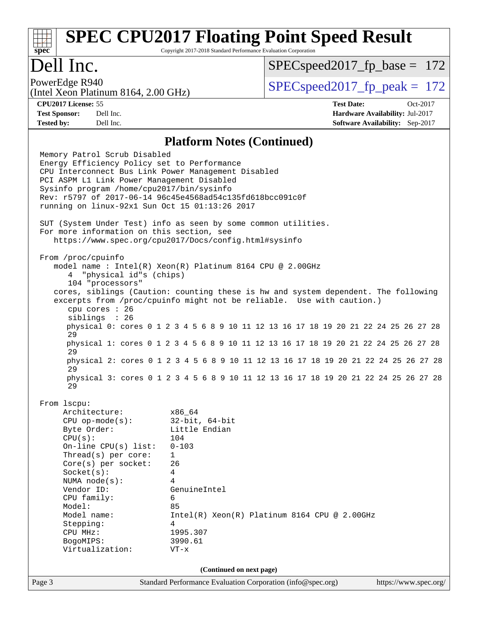#### Page 3 Standard Performance Evaluation Corporation [\(info@spec.org\)](mailto:info@spec.org) <https://www.spec.org/> **[spec](http://www.spec.org/) [SPEC CPU2017 Floating Point Speed Result](http://www.spec.org/auto/cpu2017/Docs/result-fields.html#SPECCPU2017FloatingPointSpeedResult)** Copyright 2017-2018 Standard Performance Evaluation Corporation Dell Inc. (Intel Xeon Platinum 8164, 2.00 GHz) PowerEdge R940<br>  $SPEC speed2017$  fp  $peak = 172$ SPECspeed2017 fp base =  $172$ **[CPU2017 License:](http://www.spec.org/auto/cpu2017/Docs/result-fields.html#CPU2017License)** 55 **[Test Date:](http://www.spec.org/auto/cpu2017/Docs/result-fields.html#TestDate)** Oct-2017 **[Test Sponsor:](http://www.spec.org/auto/cpu2017/Docs/result-fields.html#TestSponsor)** Dell Inc. **[Hardware Availability:](http://www.spec.org/auto/cpu2017/Docs/result-fields.html#HardwareAvailability)** Jul-2017 **[Tested by:](http://www.spec.org/auto/cpu2017/Docs/result-fields.html#Testedby)** Dell Inc. **[Software Availability:](http://www.spec.org/auto/cpu2017/Docs/result-fields.html#SoftwareAvailability)** Sep-2017 **[Platform Notes \(Continued\)](http://www.spec.org/auto/cpu2017/Docs/result-fields.html#PlatformNotes)** Memory Patrol Scrub Disabled Energy Efficiency Policy set to Performance CPU Interconnect Bus Link Power Management Disabled PCI ASPM L1 Link Power Management Disabled Sysinfo program /home/cpu2017/bin/sysinfo Rev: r5797 of 2017-06-14 96c45e4568ad54c135fd618bcc091c0f running on linux-92x1 Sun Oct 15 01:13:26 2017 SUT (System Under Test) info as seen by some common utilities. For more information on this section, see <https://www.spec.org/cpu2017/Docs/config.html#sysinfo> From /proc/cpuinfo model name : Intel(R) Xeon(R) Platinum 8164 CPU @ 2.00GHz 4 "physical id"s (chips) 104 "processors" cores, siblings (Caution: counting these is hw and system dependent. The following excerpts from /proc/cpuinfo might not be reliable. Use with caution.) cpu cores : 26 siblings : 26 physical 0: cores 0 1 2 3 4 5 6 8 9 10 11 12 13 16 17 18 19 20 21 22 24 25 26 27 28 29 physical 1: cores 0 1 2 3 4 5 6 8 9 10 11 12 13 16 17 18 19 20 21 22 24 25 26 27 28 29 physical 2: cores 0 1 2 3 4 5 6 8 9 10 11 12 13 16 17 18 19 20 21 22 24 25 26 27 28 29 physical 3: cores 0 1 2 3 4 5 6 8 9 10 11 12 13 16 17 18 19 20 21 22 24 25 26 27 28 29 From lscpu: Architecture: x86\_64 CPU op-mode(s): 32-bit, 64-bit Byte Order: Little Endian CPU(s): 104 On-line CPU(s) list: 0-103 Thread(s) per core: 1 Core(s) per socket: 26 Socket(s): 4 NUMA node(s): 4 Vendor ID: GenuineIntel CPU family: 6 Model: 85 Model name: Intel(R) Xeon(R) Platinum 8164 CPU @ 2.00GHz Stepping: 4 CPU MHz: 1995.307 BogoMIPS: 3990.61 Virtualization: VT-x **(Continued on next page)**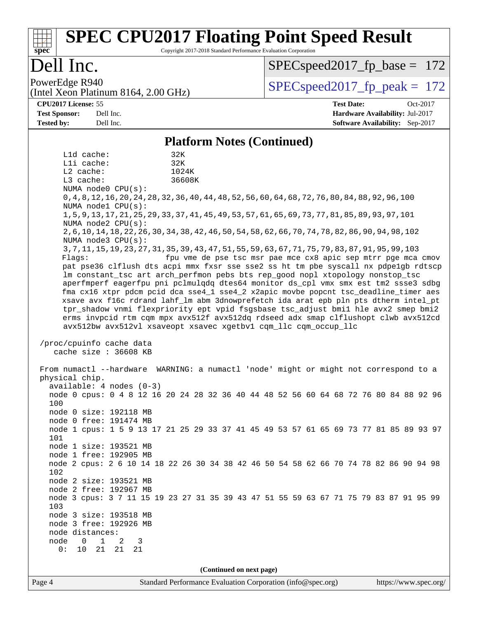# **[SPEC CPU2017 Floating Point Speed Result](http://www.spec.org/auto/cpu2017/Docs/result-fields.html#SPECCPU2017FloatingPointSpeedResult)**

Copyright 2017-2018 Standard Performance Evaluation Corporation

## Dell Inc.

**[spec](http://www.spec.org/)**

SPECspeed2017 fp base =  $172$ 

(Intel Xeon Platinum 8164, 2.00 GHz)

PowerEdge R940<br>  $SPEC speed2017$  fp  $peak = 172$ 

**[CPU2017 License:](http://www.spec.org/auto/cpu2017/Docs/result-fields.html#CPU2017License)** 55 **[Test Date:](http://www.spec.org/auto/cpu2017/Docs/result-fields.html#TestDate)** Oct-2017 **[Test Sponsor:](http://www.spec.org/auto/cpu2017/Docs/result-fields.html#TestSponsor)** Dell Inc. **[Hardware Availability:](http://www.spec.org/auto/cpu2017/Docs/result-fields.html#HardwareAvailability)** Jul-2017 **[Tested by:](http://www.spec.org/auto/cpu2017/Docs/result-fields.html#Testedby)** Dell Inc. **[Software Availability:](http://www.spec.org/auto/cpu2017/Docs/result-fields.html#SoftwareAvailability)** Sep-2017

#### **[Platform Notes \(Continued\)](http://www.spec.org/auto/cpu2017/Docs/result-fields.html#PlatformNotes)**

Page 4 Standard Performance Evaluation Corporation [\(info@spec.org\)](mailto:info@spec.org) <https://www.spec.org/> L1d cache: 32K L1i cache: 32K L2 cache: 1024K L3 cache: 36608K NUMA node0 CPU(s): 0,4,8,12,16,20,24,28,32,36,40,44,48,52,56,60,64,68,72,76,80,84,88,92,96,100 NUMA node1 CPU(s): 1,5,9,13,17,21,25,29,33,37,41,45,49,53,57,61,65,69,73,77,81,85,89,93,97,101 NUMA node2 CPU(s): 2,6,10,14,18,22,26,30,34,38,42,46,50,54,58,62,66,70,74,78,82,86,90,94,98,102 NUMA node3 CPU(s): 3,7,11,15,19,23,27,31,35,39,43,47,51,55,59,63,67,71,75,79,83,87,91,95,99,103 Flags: fpu vme de pse tsc msr pae mce cx8 apic sep mtrr pge mca cmov pat pse36 clflush dts acpi mmx fxsr sse sse2 ss ht tm pbe syscall nx pdpe1gb rdtscp lm constant\_tsc art arch\_perfmon pebs bts rep\_good nopl xtopology nonstop\_tsc aperfmperf eagerfpu pni pclmulqdq dtes64 monitor ds\_cpl vmx smx est tm2 ssse3 sdbg fma cx16 xtpr pdcm pcid dca sse4\_1 sse4\_2 x2apic movbe popcnt tsc\_deadline\_timer aes xsave avx f16c rdrand lahf\_lm abm 3dnowprefetch ida arat epb pln pts dtherm intel\_pt tpr\_shadow vnmi flexpriority ept vpid fsgsbase tsc\_adjust bmi1 hle avx2 smep bmi2 erms invpcid rtm cqm mpx avx512f avx512dq rdseed adx smap clflushopt clwb avx512cd avx512bw avx512vl xsaveopt xsavec xgetbv1 cqm\_llc cqm\_occup\_llc /proc/cpuinfo cache data cache size : 36608 KB From numactl --hardware WARNING: a numactl 'node' might or might not correspond to a physical chip. available: 4 nodes (0-3) node 0 cpus: 0 4 8 12 16 20 24 28 32 36 40 44 48 52 56 60 64 68 72 76 80 84 88 92 96 100 node 0 size: 192118 MB node 0 free: 191474 MB node 1 cpus: 1 5 9 13 17 21 25 29 33 37 41 45 49 53 57 61 65 69 73 77 81 85 89 93 97 101 node 1 size: 193521 MB node 1 free: 192905 MB node 2 cpus: 2 6 10 14 18 22 26 30 34 38 42 46 50 54 58 62 66 70 74 78 82 86 90 94 98 102 node 2 size: 193521 MB node 2 free: 192967 MB node 3 cpus: 3 7 11 15 19 23 27 31 35 39 43 47 51 55 59 63 67 71 75 79 83 87 91 95 99 103 node 3 size: 193518 MB node 3 free: 192926 MB node distances: node 0 1 2 3 0: 10 21 21 21 **(Continued on next page)**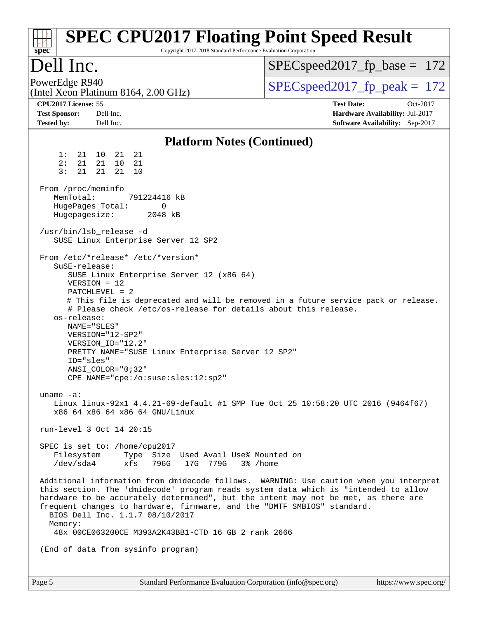| spec <sup>®</sup>                                                                                                                                                                                                     |                                                                             | Copyright 2017-2018 Standard Performance Evaluation Corporation                               | <b>SPEC CPU2017 Floating Point Speed Result</b>                                                                                                                                                                                                                                                                                                |
|-----------------------------------------------------------------------------------------------------------------------------------------------------------------------------------------------------------------------|-----------------------------------------------------------------------------|-----------------------------------------------------------------------------------------------|------------------------------------------------------------------------------------------------------------------------------------------------------------------------------------------------------------------------------------------------------------------------------------------------------------------------------------------------|
| Dell Inc.                                                                                                                                                                                                             |                                                                             |                                                                                               | $SPEC speed2017_fp\_base = 172$                                                                                                                                                                                                                                                                                                                |
| PowerEdge R940<br>(Intel Xeon Platinum 8164, 2.00 GHz)                                                                                                                                                                |                                                                             |                                                                                               | $SPEC speed2017_fp\_peak = 172$                                                                                                                                                                                                                                                                                                                |
| CPU2017 License: 55<br><b>Test Sponsor:</b><br>Dell Inc.<br><b>Tested by:</b><br>Dell Inc.                                                                                                                            |                                                                             |                                                                                               | <b>Test Date:</b><br>Oct-2017<br>Hardware Availability: Jul-2017<br>Software Availability: Sep-2017                                                                                                                                                                                                                                            |
|                                                                                                                                                                                                                       |                                                                             | <b>Platform Notes (Continued)</b>                                                             |                                                                                                                                                                                                                                                                                                                                                |
| 1:<br>21<br>10<br>2:<br>21<br>21<br>3:<br>21<br>21                                                                                                                                                                    | 21<br>21<br>10<br>21<br>21<br>10                                            |                                                                                               |                                                                                                                                                                                                                                                                                                                                                |
| From /proc/meminfo<br>MemTotal:<br>HugePages_Total:<br>Hugepagesize:                                                                                                                                                  | 791224416 kB<br>0<br>2048 kB                                                |                                                                                               |                                                                                                                                                                                                                                                                                                                                                |
| /usr/bin/lsb_release -d                                                                                                                                                                                               | SUSE Linux Enterprise Server 12 SP2                                         |                                                                                               |                                                                                                                                                                                                                                                                                                                                                |
| From /etc/*release* /etc/*version*<br>SuSE-release:<br>$VERSION = 12$<br>PATCHLEVEL = 2<br>os-release:<br>NAME="SLES"<br>VERSION="12-SP2"<br>VERSION ID="12.2"<br>ID="sles"<br>$ANSI\_COLOR = "0:32"$<br>uname $-a$ : | $CPE\_NAME = "cpe://o:suse: sles:12:sp2"$<br>x86 64 x86 64 x86 64 GNU/Linux | SUSE Linux Enterprise Server 12 (x86_64)<br>PRETTY_NAME="SUSE Linux Enterprise Server 12 SP2" | # This file is deprecated and will be removed in a future service pack or release.<br># Please check /etc/os-release for details about this release.<br>Linux linux-92x1 4.4.21-69-default #1 SMP Tue Oct 25 10:58:20 UTC 2016 (9464f67)                                                                                                       |
| run-level 3 Oct 14 20:15                                                                                                                                                                                              |                                                                             |                                                                                               |                                                                                                                                                                                                                                                                                                                                                |
| SPEC is set to: /home/cpu2017<br>Filesystem<br>/dev/sda4                                                                                                                                                              | xfs                                                                         | Type Size Used Avail Use% Mounted on<br>796G 17G 779G<br>3% /home                             |                                                                                                                                                                                                                                                                                                                                                |
| Memory:                                                                                                                                                                                                               | BIOS Dell Inc. 1.1.7 08/10/2017                                             | 48x 00CE063200CE M393A2K43BB1-CTD 16 GB 2 rank 2666                                           | Additional information from dmidecode follows. WARNING: Use caution when you interpret<br>this section. The 'dmidecode' program reads system data which is "intended to allow<br>hardware to be accurately determined", but the intent may not be met, as there are<br>frequent changes to hardware, firmware, and the "DMTF SMBIOS" standard. |
| (End of data from sysinfo program)                                                                                                                                                                                    |                                                                             |                                                                                               |                                                                                                                                                                                                                                                                                                                                                |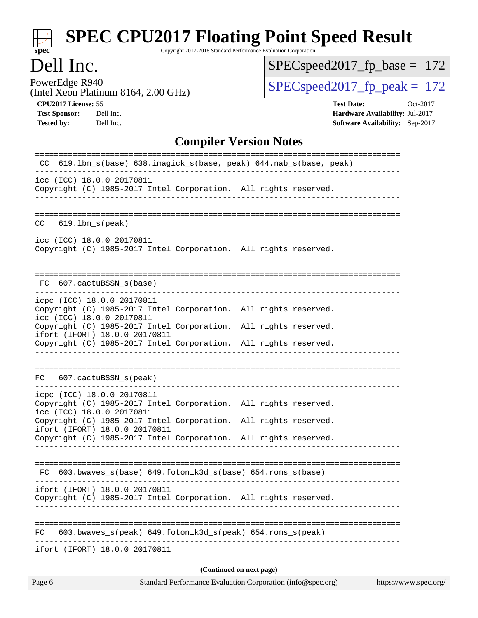#### **[SPEC CPU2017 Floating Point Speed Result](http://www.spec.org/auto/cpu2017/Docs/result-fields.html#SPECCPU2017FloatingPointSpeedResult)** Copyright 2017-2018 Standard Performance Evaluation Corporation

## Dell Inc.

**[spec](http://www.spec.org/)**

[SPECspeed2017\\_fp\\_base =](http://www.spec.org/auto/cpu2017/Docs/result-fields.html#SPECspeed2017fpbase) 172

PowerEdge R940<br>(Intel Xeon Platinum 8164, 2.00 GHz)

 $SPEC speed2017_fp\_peak = 172$ 

**[CPU2017 License:](http://www.spec.org/auto/cpu2017/Docs/result-fields.html#CPU2017License)** 55 **[Test Date:](http://www.spec.org/auto/cpu2017/Docs/result-fields.html#TestDate)** Oct-2017 **[Test Sponsor:](http://www.spec.org/auto/cpu2017/Docs/result-fields.html#TestSponsor)** Dell Inc. **[Hardware Availability:](http://www.spec.org/auto/cpu2017/Docs/result-fields.html#HardwareAvailability)** Jul-2017 **[Tested by:](http://www.spec.org/auto/cpu2017/Docs/result-fields.html#Testedby)** Dell Inc. **[Software Availability:](http://www.spec.org/auto/cpu2017/Docs/result-fields.html#SoftwareAvailability)** Sep-2017

#### **[Compiler Version Notes](http://www.spec.org/auto/cpu2017/Docs/result-fields.html#CompilerVersionNotes)**

| Standard Performance Evaluation Corporation (info@spec.org)<br>Page 6                                                      | https://www.spec.org/ |
|----------------------------------------------------------------------------------------------------------------------------|-----------------------|
| (Continued on next page)                                                                                                   |                       |
| ifort (IFORT) 18.0.0 20170811                                                                                              |                       |
| 603.bwaves_s(peak) 649.fotonik3d_s(peak) 654.roms_s(peak)<br>FC.                                                           |                       |
| Copyright (C) 1985-2017 Intel Corporation. All rights reserved                                                             |                       |
| ifort (IFORT) 18.0.0 20170811                                                                                              |                       |
| FC 603.bwaves_s(base) 649.fotonik3d_s(base) 654.roms_s(base)                                                               |                       |
| Copyright (C) 1985-2017 Intel Corporation. All rights reserved.                                                            |                       |
| Copyright (C) 1985-2017 Intel Corporation. All rights reserved.<br>ifort (IFORT) 18.0.0 20170811                           |                       |
| icpc (ICC) 18.0.0 20170811<br>Copyright (C) 1985-2017 Intel Corporation. All rights reserved.<br>icc (ICC) 18.0.0 20170811 |                       |
| FC 607.cactuBSSN_s(peak)                                                                                                   |                       |
|                                                                                                                            |                       |
| ifort (IFORT) 18.0.0 20170811<br>Copyright (C) 1985-2017 Intel Corporation. All rights reserved.                           |                       |
| icc (ICC) 18.0.0 20170811<br>Copyright (C) 1985-2017 Intel Corporation. All rights reserved.                               |                       |
| icpc (ICC) 18.0.0 20170811<br>Copyright (C) 1985-2017 Intel Corporation. All rights reserved.                              |                       |
| FC 607.cactuBSSN_s(base)                                                                                                   |                       |
|                                                                                                                            |                       |
| icc (ICC) 18.0.0 20170811<br>Copyright (C) 1985-2017 Intel Corporation. All rights reserved.                               |                       |
| CC.<br>619.1bm_s(peak)                                                                                                     |                       |
| Copyright (C) 1985-2017 Intel Corporation. All rights reserved.<br>-----------                                             |                       |
| icc (ICC) 18.0.0 20170811                                                                                                  |                       |
| CC 619.1bm_s(base) 638.imagick_s(base, peak) 644.nab_s(base, peak)                                                         |                       |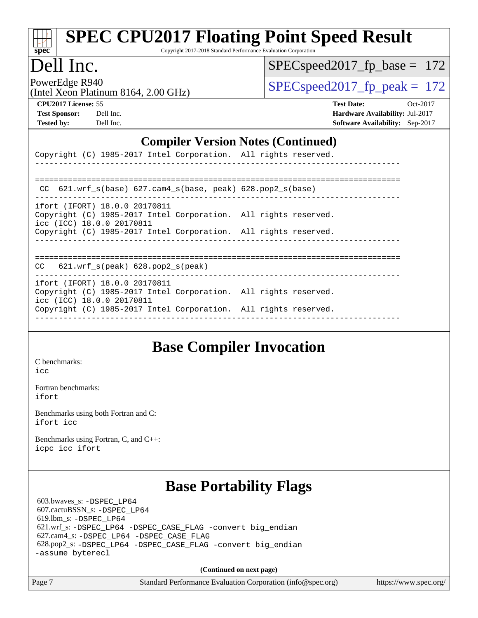# **[spec](http://www.spec.org/)**

# **[SPEC CPU2017 Floating Point Speed Result](http://www.spec.org/auto/cpu2017/Docs/result-fields.html#SPECCPU2017FloatingPointSpeedResult)**

Copyright 2017-2018 Standard Performance Evaluation Corporation

### Dell Inc.

SPECspeed2017 fp base =  $172$ 

(Intel Xeon Platinum 8164, 2.00 GHz)

PowerEdge R940<br>(Intel Year Platinum 8164, 2.00 CU<sub>E</sub>) SPECspeed2017 fp\_peak = 172

**[CPU2017 License:](http://www.spec.org/auto/cpu2017/Docs/result-fields.html#CPU2017License)** 55 **[Test Date:](http://www.spec.org/auto/cpu2017/Docs/result-fields.html#TestDate)** Oct-2017 **[Test Sponsor:](http://www.spec.org/auto/cpu2017/Docs/result-fields.html#TestSponsor)** Dell Inc. **[Hardware Availability:](http://www.spec.org/auto/cpu2017/Docs/result-fields.html#HardwareAvailability)** Jul-2017 **[Tested by:](http://www.spec.org/auto/cpu2017/Docs/result-fields.html#Testedby)** Dell Inc. **[Software Availability:](http://www.spec.org/auto/cpu2017/Docs/result-fields.html#SoftwareAvailability)** Sep-2017

#### **[Compiler Version Notes \(Continued\)](http://www.spec.org/auto/cpu2017/Docs/result-fields.html#CompilerVersionNotes)**

|                               | Copyright (C) 1985-2017 Intel Corporation. All rights reserved. |  |
|-------------------------------|-----------------------------------------------------------------|--|
|                               |                                                                 |  |
|                               | CC $621.wrf s(base) 627.cam4 s(base, peak) 628.pop2 s(base)$    |  |
| ifort (IFORT) 18.0.0 20170811 |                                                                 |  |

Copyright (C) 1985-2017 Intel Corporation. All rights reserved. icc (ICC) 18.0.0 20170811

Copyright (C) 1985-2017 Intel Corporation. All rights reserved.

------------------------------------------------------------------------------

============================================================================== CC 621.wrf\_s(peak) 628.pop2\_s(peak)

----------------------------------------------------------------------------- ifort (IFORT) 18.0.0 20170811 Copyright (C) 1985-2017 Intel Corporation. All rights reserved.

icc (ICC) 18.0.0 20170811 Copyright (C) 1985-2017 Intel Corporation. All rights reserved. ------------------------------------------------------------------------------

### **[Base Compiler Invocation](http://www.spec.org/auto/cpu2017/Docs/result-fields.html#BaseCompilerInvocation)**

[C benchmarks](http://www.spec.org/auto/cpu2017/Docs/result-fields.html#Cbenchmarks):  $i$ cc

[Fortran benchmarks](http://www.spec.org/auto/cpu2017/Docs/result-fields.html#Fortranbenchmarks): [ifort](http://www.spec.org/cpu2017/results/res2017q4/cpu2017-20171030-00257.flags.html#user_FCbase_intel_ifort_18.0_8111460550e3ca792625aed983ce982f94888b8b503583aa7ba2b8303487b4d8a21a13e7191a45c5fd58ff318f48f9492884d4413fa793fd88dd292cad7027ca)

[Benchmarks using both Fortran and C](http://www.spec.org/auto/cpu2017/Docs/result-fields.html#BenchmarksusingbothFortranandC): [ifort](http://www.spec.org/cpu2017/results/res2017q4/cpu2017-20171030-00257.flags.html#user_CC_FCbase_intel_ifort_18.0_8111460550e3ca792625aed983ce982f94888b8b503583aa7ba2b8303487b4d8a21a13e7191a45c5fd58ff318f48f9492884d4413fa793fd88dd292cad7027ca) [icc](http://www.spec.org/cpu2017/results/res2017q4/cpu2017-20171030-00257.flags.html#user_CC_FCbase_intel_icc_18.0_66fc1ee009f7361af1fbd72ca7dcefbb700085f36577c54f309893dd4ec40d12360134090235512931783d35fd58c0460139e722d5067c5574d8eaf2b3e37e92)

[Benchmarks using Fortran, C, and C++:](http://www.spec.org/auto/cpu2017/Docs/result-fields.html#BenchmarksusingFortranCandCXX) [icpc](http://www.spec.org/cpu2017/results/res2017q4/cpu2017-20171030-00257.flags.html#user_CC_CXX_FCbase_intel_icpc_18.0_c510b6838c7f56d33e37e94d029a35b4a7bccf4766a728ee175e80a419847e808290a9b78be685c44ab727ea267ec2f070ec5dc83b407c0218cded6866a35d07) [icc](http://www.spec.org/cpu2017/results/res2017q4/cpu2017-20171030-00257.flags.html#user_CC_CXX_FCbase_intel_icc_18.0_66fc1ee009f7361af1fbd72ca7dcefbb700085f36577c54f309893dd4ec40d12360134090235512931783d35fd58c0460139e722d5067c5574d8eaf2b3e37e92) [ifort](http://www.spec.org/cpu2017/results/res2017q4/cpu2017-20171030-00257.flags.html#user_CC_CXX_FCbase_intel_ifort_18.0_8111460550e3ca792625aed983ce982f94888b8b503583aa7ba2b8303487b4d8a21a13e7191a45c5fd58ff318f48f9492884d4413fa793fd88dd292cad7027ca)

## **[Base Portability Flags](http://www.spec.org/auto/cpu2017/Docs/result-fields.html#BasePortabilityFlags)**

 603.bwaves\_s: [-DSPEC\\_LP64](http://www.spec.org/cpu2017/results/res2017q4/cpu2017-20171030-00257.flags.html#suite_basePORTABILITY603_bwaves_s_DSPEC_LP64) 607.cactuBSSN\_s: [-DSPEC\\_LP64](http://www.spec.org/cpu2017/results/res2017q4/cpu2017-20171030-00257.flags.html#suite_basePORTABILITY607_cactuBSSN_s_DSPEC_LP64) 619.lbm\_s: [-DSPEC\\_LP64](http://www.spec.org/cpu2017/results/res2017q4/cpu2017-20171030-00257.flags.html#suite_basePORTABILITY619_lbm_s_DSPEC_LP64) 621.wrf\_s: [-DSPEC\\_LP64](http://www.spec.org/cpu2017/results/res2017q4/cpu2017-20171030-00257.flags.html#suite_basePORTABILITY621_wrf_s_DSPEC_LP64) [-DSPEC\\_CASE\\_FLAG](http://www.spec.org/cpu2017/results/res2017q4/cpu2017-20171030-00257.flags.html#b621.wrf_s_baseCPORTABILITY_DSPEC_CASE_FLAG) [-convert big\\_endian](http://www.spec.org/cpu2017/results/res2017q4/cpu2017-20171030-00257.flags.html#user_baseFPORTABILITY621_wrf_s_convert_big_endian_c3194028bc08c63ac5d04de18c48ce6d347e4e562e8892b8bdbdc0214820426deb8554edfa529a3fb25a586e65a3d812c835984020483e7e73212c4d31a38223) 627.cam4\_s: [-DSPEC\\_LP64](http://www.spec.org/cpu2017/results/res2017q4/cpu2017-20171030-00257.flags.html#suite_basePORTABILITY627_cam4_s_DSPEC_LP64) [-DSPEC\\_CASE\\_FLAG](http://www.spec.org/cpu2017/results/res2017q4/cpu2017-20171030-00257.flags.html#b627.cam4_s_baseCPORTABILITY_DSPEC_CASE_FLAG) 628.pop2\_s: [-DSPEC\\_LP64](http://www.spec.org/cpu2017/results/res2017q4/cpu2017-20171030-00257.flags.html#suite_basePORTABILITY628_pop2_s_DSPEC_LP64) [-DSPEC\\_CASE\\_FLAG](http://www.spec.org/cpu2017/results/res2017q4/cpu2017-20171030-00257.flags.html#b628.pop2_s_baseCPORTABILITY_DSPEC_CASE_FLAG) [-convert big\\_endian](http://www.spec.org/cpu2017/results/res2017q4/cpu2017-20171030-00257.flags.html#user_baseFPORTABILITY628_pop2_s_convert_big_endian_c3194028bc08c63ac5d04de18c48ce6d347e4e562e8892b8bdbdc0214820426deb8554edfa529a3fb25a586e65a3d812c835984020483e7e73212c4d31a38223) [-assume byterecl](http://www.spec.org/cpu2017/results/res2017q4/cpu2017-20171030-00257.flags.html#user_baseFPORTABILITY628_pop2_s_assume_byterecl_7e47d18b9513cf18525430bbf0f2177aa9bf368bc7a059c09b2c06a34b53bd3447c950d3f8d6c70e3faf3a05c8557d66a5798b567902e8849adc142926523472)

**(Continued on next page)**

Page 7 Standard Performance Evaluation Corporation [\(info@spec.org\)](mailto:info@spec.org) <https://www.spec.org/>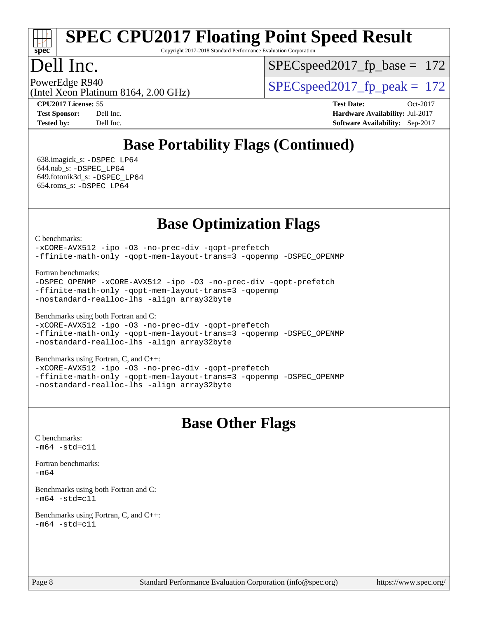# **[spec](http://www.spec.org/)**

# **[SPEC CPU2017 Floating Point Speed Result](http://www.spec.org/auto/cpu2017/Docs/result-fields.html#SPECCPU2017FloatingPointSpeedResult)**

Copyright 2017-2018 Standard Performance Evaluation Corporation

### Dell Inc.

SPECspeed2017 fp base =  $172$ 

(Intel Xeon Platinum 8164, 2.00 GHz) PowerEdge R940<br>(Intel Year Platinum 8164, 2.00 CU<sub>2</sub>) SPECspeed2017 fp\_peak = 172

**[CPU2017 License:](http://www.spec.org/auto/cpu2017/Docs/result-fields.html#CPU2017License)** 55 **[Test Date:](http://www.spec.org/auto/cpu2017/Docs/result-fields.html#TestDate)** Oct-2017

**[Tested by:](http://www.spec.org/auto/cpu2017/Docs/result-fields.html#Testedby)** Dell Inc. **[Software Availability:](http://www.spec.org/auto/cpu2017/Docs/result-fields.html#SoftwareAvailability)** Sep-2017

**[Test Sponsor:](http://www.spec.org/auto/cpu2017/Docs/result-fields.html#TestSponsor)** Dell Inc. **[Hardware Availability:](http://www.spec.org/auto/cpu2017/Docs/result-fields.html#HardwareAvailability)** Jul-2017

## **[Base Portability Flags \(Continued\)](http://www.spec.org/auto/cpu2017/Docs/result-fields.html#BasePortabilityFlags)**

 638.imagick\_s: [-DSPEC\\_LP64](http://www.spec.org/cpu2017/results/res2017q4/cpu2017-20171030-00257.flags.html#suite_basePORTABILITY638_imagick_s_DSPEC_LP64) 644.nab\_s: [-DSPEC\\_LP64](http://www.spec.org/cpu2017/results/res2017q4/cpu2017-20171030-00257.flags.html#suite_basePORTABILITY644_nab_s_DSPEC_LP64) 649.fotonik3d\_s: [-DSPEC\\_LP64](http://www.spec.org/cpu2017/results/res2017q4/cpu2017-20171030-00257.flags.html#suite_basePORTABILITY649_fotonik3d_s_DSPEC_LP64) 654.roms\_s: [-DSPEC\\_LP64](http://www.spec.org/cpu2017/results/res2017q4/cpu2017-20171030-00257.flags.html#suite_basePORTABILITY654_roms_s_DSPEC_LP64)

**[Base Optimization Flags](http://www.spec.org/auto/cpu2017/Docs/result-fields.html#BaseOptimizationFlags)**

[C benchmarks](http://www.spec.org/auto/cpu2017/Docs/result-fields.html#Cbenchmarks):

[-xCORE-AVX512](http://www.spec.org/cpu2017/results/res2017q4/cpu2017-20171030-00257.flags.html#user_CCbase_f-xCORE-AVX512) [-ipo](http://www.spec.org/cpu2017/results/res2017q4/cpu2017-20171030-00257.flags.html#user_CCbase_f-ipo) [-O3](http://www.spec.org/cpu2017/results/res2017q4/cpu2017-20171030-00257.flags.html#user_CCbase_f-O3) [-no-prec-div](http://www.spec.org/cpu2017/results/res2017q4/cpu2017-20171030-00257.flags.html#user_CCbase_f-no-prec-div) [-qopt-prefetch](http://www.spec.org/cpu2017/results/res2017q4/cpu2017-20171030-00257.flags.html#user_CCbase_f-qopt-prefetch) [-ffinite-math-only](http://www.spec.org/cpu2017/results/res2017q4/cpu2017-20171030-00257.flags.html#user_CCbase_f_finite_math_only_cb91587bd2077682c4b38af759c288ed7c732db004271a9512da14a4f8007909a5f1427ecbf1a0fb78ff2a814402c6114ac565ca162485bbcae155b5e4258871) [-qopt-mem-layout-trans=3](http://www.spec.org/cpu2017/results/res2017q4/cpu2017-20171030-00257.flags.html#user_CCbase_f-qopt-mem-layout-trans_de80db37974c74b1f0e20d883f0b675c88c3b01e9d123adea9b28688d64333345fb62bc4a798493513fdb68f60282f9a726aa07f478b2f7113531aecce732043) [-qopenmp](http://www.spec.org/cpu2017/results/res2017q4/cpu2017-20171030-00257.flags.html#user_CCbase_qopenmp_16be0c44f24f464004c6784a7acb94aca937f053568ce72f94b139a11c7c168634a55f6653758ddd83bcf7b8463e8028bb0b48b77bcddc6b78d5d95bb1df2967) [-DSPEC\\_OPENMP](http://www.spec.org/cpu2017/results/res2017q4/cpu2017-20171030-00257.flags.html#suite_CCbase_DSPEC_OPENMP)

[Fortran benchmarks](http://www.spec.org/auto/cpu2017/Docs/result-fields.html#Fortranbenchmarks):

[-DSPEC\\_OPENMP](http://www.spec.org/cpu2017/results/res2017q4/cpu2017-20171030-00257.flags.html#suite_FCbase_DSPEC_OPENMP) [-xCORE-AVX512](http://www.spec.org/cpu2017/results/res2017q4/cpu2017-20171030-00257.flags.html#user_FCbase_f-xCORE-AVX512) [-ipo](http://www.spec.org/cpu2017/results/res2017q4/cpu2017-20171030-00257.flags.html#user_FCbase_f-ipo) [-O3](http://www.spec.org/cpu2017/results/res2017q4/cpu2017-20171030-00257.flags.html#user_FCbase_f-O3) [-no-prec-div](http://www.spec.org/cpu2017/results/res2017q4/cpu2017-20171030-00257.flags.html#user_FCbase_f-no-prec-div) [-qopt-prefetch](http://www.spec.org/cpu2017/results/res2017q4/cpu2017-20171030-00257.flags.html#user_FCbase_f-qopt-prefetch) [-ffinite-math-only](http://www.spec.org/cpu2017/results/res2017q4/cpu2017-20171030-00257.flags.html#user_FCbase_f_finite_math_only_cb91587bd2077682c4b38af759c288ed7c732db004271a9512da14a4f8007909a5f1427ecbf1a0fb78ff2a814402c6114ac565ca162485bbcae155b5e4258871) [-qopt-mem-layout-trans=3](http://www.spec.org/cpu2017/results/res2017q4/cpu2017-20171030-00257.flags.html#user_FCbase_f-qopt-mem-layout-trans_de80db37974c74b1f0e20d883f0b675c88c3b01e9d123adea9b28688d64333345fb62bc4a798493513fdb68f60282f9a726aa07f478b2f7113531aecce732043) [-qopenmp](http://www.spec.org/cpu2017/results/res2017q4/cpu2017-20171030-00257.flags.html#user_FCbase_qopenmp_16be0c44f24f464004c6784a7acb94aca937f053568ce72f94b139a11c7c168634a55f6653758ddd83bcf7b8463e8028bb0b48b77bcddc6b78d5d95bb1df2967) [-nostandard-realloc-lhs](http://www.spec.org/cpu2017/results/res2017q4/cpu2017-20171030-00257.flags.html#user_FCbase_f_2003_std_realloc_82b4557e90729c0f113870c07e44d33d6f5a304b4f63d4c15d2d0f1fab99f5daaed73bdb9275d9ae411527f28b936061aa8b9c8f2d63842963b95c9dd6426b8a) [-align array32byte](http://www.spec.org/cpu2017/results/res2017q4/cpu2017-20171030-00257.flags.html#user_FCbase_align_array32byte_b982fe038af199962ba9a80c053b8342c548c85b40b8e86eb3cc33dee0d7986a4af373ac2d51c3f7cf710a18d62fdce2948f201cd044323541f22fc0fffc51b6)

[Benchmarks using both Fortran and C](http://www.spec.org/auto/cpu2017/Docs/result-fields.html#BenchmarksusingbothFortranandC):

[-xCORE-AVX512](http://www.spec.org/cpu2017/results/res2017q4/cpu2017-20171030-00257.flags.html#user_CC_FCbase_f-xCORE-AVX512) [-ipo](http://www.spec.org/cpu2017/results/res2017q4/cpu2017-20171030-00257.flags.html#user_CC_FCbase_f-ipo) [-O3](http://www.spec.org/cpu2017/results/res2017q4/cpu2017-20171030-00257.flags.html#user_CC_FCbase_f-O3) [-no-prec-div](http://www.spec.org/cpu2017/results/res2017q4/cpu2017-20171030-00257.flags.html#user_CC_FCbase_f-no-prec-div) [-qopt-prefetch](http://www.spec.org/cpu2017/results/res2017q4/cpu2017-20171030-00257.flags.html#user_CC_FCbase_f-qopt-prefetch) [-ffinite-math-only](http://www.spec.org/cpu2017/results/res2017q4/cpu2017-20171030-00257.flags.html#user_CC_FCbase_f_finite_math_only_cb91587bd2077682c4b38af759c288ed7c732db004271a9512da14a4f8007909a5f1427ecbf1a0fb78ff2a814402c6114ac565ca162485bbcae155b5e4258871) [-qopt-mem-layout-trans=3](http://www.spec.org/cpu2017/results/res2017q4/cpu2017-20171030-00257.flags.html#user_CC_FCbase_f-qopt-mem-layout-trans_de80db37974c74b1f0e20d883f0b675c88c3b01e9d123adea9b28688d64333345fb62bc4a798493513fdb68f60282f9a726aa07f478b2f7113531aecce732043) [-qopenmp](http://www.spec.org/cpu2017/results/res2017q4/cpu2017-20171030-00257.flags.html#user_CC_FCbase_qopenmp_16be0c44f24f464004c6784a7acb94aca937f053568ce72f94b139a11c7c168634a55f6653758ddd83bcf7b8463e8028bb0b48b77bcddc6b78d5d95bb1df2967) [-DSPEC\\_OPENMP](http://www.spec.org/cpu2017/results/res2017q4/cpu2017-20171030-00257.flags.html#suite_CC_FCbase_DSPEC_OPENMP) [-nostandard-realloc-lhs](http://www.spec.org/cpu2017/results/res2017q4/cpu2017-20171030-00257.flags.html#user_CC_FCbase_f_2003_std_realloc_82b4557e90729c0f113870c07e44d33d6f5a304b4f63d4c15d2d0f1fab99f5daaed73bdb9275d9ae411527f28b936061aa8b9c8f2d63842963b95c9dd6426b8a) [-align array32byte](http://www.spec.org/cpu2017/results/res2017q4/cpu2017-20171030-00257.flags.html#user_CC_FCbase_align_array32byte_b982fe038af199962ba9a80c053b8342c548c85b40b8e86eb3cc33dee0d7986a4af373ac2d51c3f7cf710a18d62fdce2948f201cd044323541f22fc0fffc51b6)

[Benchmarks using Fortran, C, and C++:](http://www.spec.org/auto/cpu2017/Docs/result-fields.html#BenchmarksusingFortranCandCXX)

[-xCORE-AVX512](http://www.spec.org/cpu2017/results/res2017q4/cpu2017-20171030-00257.flags.html#user_CC_CXX_FCbase_f-xCORE-AVX512) [-ipo](http://www.spec.org/cpu2017/results/res2017q4/cpu2017-20171030-00257.flags.html#user_CC_CXX_FCbase_f-ipo) [-O3](http://www.spec.org/cpu2017/results/res2017q4/cpu2017-20171030-00257.flags.html#user_CC_CXX_FCbase_f-O3) [-no-prec-div](http://www.spec.org/cpu2017/results/res2017q4/cpu2017-20171030-00257.flags.html#user_CC_CXX_FCbase_f-no-prec-div) [-qopt-prefetch](http://www.spec.org/cpu2017/results/res2017q4/cpu2017-20171030-00257.flags.html#user_CC_CXX_FCbase_f-qopt-prefetch) [-ffinite-math-only](http://www.spec.org/cpu2017/results/res2017q4/cpu2017-20171030-00257.flags.html#user_CC_CXX_FCbase_f_finite_math_only_cb91587bd2077682c4b38af759c288ed7c732db004271a9512da14a4f8007909a5f1427ecbf1a0fb78ff2a814402c6114ac565ca162485bbcae155b5e4258871) [-qopt-mem-layout-trans=3](http://www.spec.org/cpu2017/results/res2017q4/cpu2017-20171030-00257.flags.html#user_CC_CXX_FCbase_f-qopt-mem-layout-trans_de80db37974c74b1f0e20d883f0b675c88c3b01e9d123adea9b28688d64333345fb62bc4a798493513fdb68f60282f9a726aa07f478b2f7113531aecce732043) [-qopenmp](http://www.spec.org/cpu2017/results/res2017q4/cpu2017-20171030-00257.flags.html#user_CC_CXX_FCbase_qopenmp_16be0c44f24f464004c6784a7acb94aca937f053568ce72f94b139a11c7c168634a55f6653758ddd83bcf7b8463e8028bb0b48b77bcddc6b78d5d95bb1df2967) [-DSPEC\\_OPENMP](http://www.spec.org/cpu2017/results/res2017q4/cpu2017-20171030-00257.flags.html#suite_CC_CXX_FCbase_DSPEC_OPENMP) [-nostandard-realloc-lhs](http://www.spec.org/cpu2017/results/res2017q4/cpu2017-20171030-00257.flags.html#user_CC_CXX_FCbase_f_2003_std_realloc_82b4557e90729c0f113870c07e44d33d6f5a304b4f63d4c15d2d0f1fab99f5daaed73bdb9275d9ae411527f28b936061aa8b9c8f2d63842963b95c9dd6426b8a) [-align array32byte](http://www.spec.org/cpu2017/results/res2017q4/cpu2017-20171030-00257.flags.html#user_CC_CXX_FCbase_align_array32byte_b982fe038af199962ba9a80c053b8342c548c85b40b8e86eb3cc33dee0d7986a4af373ac2d51c3f7cf710a18d62fdce2948f201cd044323541f22fc0fffc51b6)

#### **[Base Other Flags](http://www.spec.org/auto/cpu2017/Docs/result-fields.html#BaseOtherFlags)**

[C benchmarks](http://www.spec.org/auto/cpu2017/Docs/result-fields.html#Cbenchmarks):  $-m64 - std= c11$  $-m64 - std= c11$ [Fortran benchmarks](http://www.spec.org/auto/cpu2017/Docs/result-fields.html#Fortranbenchmarks): [-m64](http://www.spec.org/cpu2017/results/res2017q4/cpu2017-20171030-00257.flags.html#user_FCbase_intel_intel64_18.0_af43caccfc8ded86e7699f2159af6efc7655f51387b94da716254467f3c01020a5059329e2569e4053f409e7c9202a7efc638f7a6d1ffb3f52dea4a3e31d82ab) [Benchmarks using both Fortran and C](http://www.spec.org/auto/cpu2017/Docs/result-fields.html#BenchmarksusingbothFortranandC):  $-m64 - std = c11$  $-m64 - std = c11$ [Benchmarks using Fortran, C, and C++:](http://www.spec.org/auto/cpu2017/Docs/result-fields.html#BenchmarksusingFortranCandCXX)  $-m64 - std = c11$  $-m64 - std = c11$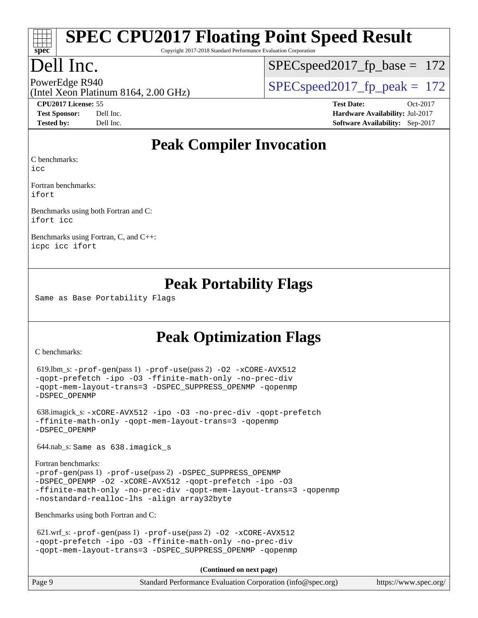# **[spec](http://www.spec.org/)**

# **[SPEC CPU2017 Floating Point Speed Result](http://www.spec.org/auto/cpu2017/Docs/result-fields.html#SPECCPU2017FloatingPointSpeedResult)**

Copyright 2017-2018 Standard Performance Evaluation Corporation

## Dell Inc.

 $SPEC speed2017_fp\_base = 172$ 

### (Intel Xeon Platinum 8164, 2.00 GHz)

PowerEdge R940<br>(Intel Year Platinum 8164, 2.00 CU<sub>2</sub>) SPECspeed2017 fp\_peak = 172

**[CPU2017 License:](http://www.spec.org/auto/cpu2017/Docs/result-fields.html#CPU2017License)** 55 **[Test Date:](http://www.spec.org/auto/cpu2017/Docs/result-fields.html#TestDate)** Oct-2017 **[Test Sponsor:](http://www.spec.org/auto/cpu2017/Docs/result-fields.html#TestSponsor)** Dell Inc. **[Hardware Availability:](http://www.spec.org/auto/cpu2017/Docs/result-fields.html#HardwareAvailability)** Jul-2017 **[Tested by:](http://www.spec.org/auto/cpu2017/Docs/result-fields.html#Testedby)** Dell Inc. **[Software Availability:](http://www.spec.org/auto/cpu2017/Docs/result-fields.html#SoftwareAvailability)** Sep-2017

#### **[Peak Compiler Invocation](http://www.spec.org/auto/cpu2017/Docs/result-fields.html#PeakCompilerInvocation)**

[C benchmarks](http://www.spec.org/auto/cpu2017/Docs/result-fields.html#Cbenchmarks):

[icc](http://www.spec.org/cpu2017/results/res2017q4/cpu2017-20171030-00257.flags.html#user_CCpeak_intel_icc_18.0_66fc1ee009f7361af1fbd72ca7dcefbb700085f36577c54f309893dd4ec40d12360134090235512931783d35fd58c0460139e722d5067c5574d8eaf2b3e37e92)

[Fortran benchmarks](http://www.spec.org/auto/cpu2017/Docs/result-fields.html#Fortranbenchmarks): [ifort](http://www.spec.org/cpu2017/results/res2017q4/cpu2017-20171030-00257.flags.html#user_FCpeak_intel_ifort_18.0_8111460550e3ca792625aed983ce982f94888b8b503583aa7ba2b8303487b4d8a21a13e7191a45c5fd58ff318f48f9492884d4413fa793fd88dd292cad7027ca)

[Benchmarks using both Fortran and C](http://www.spec.org/auto/cpu2017/Docs/result-fields.html#BenchmarksusingbothFortranandC): [ifort](http://www.spec.org/cpu2017/results/res2017q4/cpu2017-20171030-00257.flags.html#user_CC_FCpeak_intel_ifort_18.0_8111460550e3ca792625aed983ce982f94888b8b503583aa7ba2b8303487b4d8a21a13e7191a45c5fd58ff318f48f9492884d4413fa793fd88dd292cad7027ca) [icc](http://www.spec.org/cpu2017/results/res2017q4/cpu2017-20171030-00257.flags.html#user_CC_FCpeak_intel_icc_18.0_66fc1ee009f7361af1fbd72ca7dcefbb700085f36577c54f309893dd4ec40d12360134090235512931783d35fd58c0460139e722d5067c5574d8eaf2b3e37e92)

[Benchmarks using Fortran, C, and C++](http://www.spec.org/auto/cpu2017/Docs/result-fields.html#BenchmarksusingFortranCandCXX): [icpc](http://www.spec.org/cpu2017/results/res2017q4/cpu2017-20171030-00257.flags.html#user_CC_CXX_FCpeak_intel_icpc_18.0_c510b6838c7f56d33e37e94d029a35b4a7bccf4766a728ee175e80a419847e808290a9b78be685c44ab727ea267ec2f070ec5dc83b407c0218cded6866a35d07) [icc](http://www.spec.org/cpu2017/results/res2017q4/cpu2017-20171030-00257.flags.html#user_CC_CXX_FCpeak_intel_icc_18.0_66fc1ee009f7361af1fbd72ca7dcefbb700085f36577c54f309893dd4ec40d12360134090235512931783d35fd58c0460139e722d5067c5574d8eaf2b3e37e92) [ifort](http://www.spec.org/cpu2017/results/res2017q4/cpu2017-20171030-00257.flags.html#user_CC_CXX_FCpeak_intel_ifort_18.0_8111460550e3ca792625aed983ce982f94888b8b503583aa7ba2b8303487b4d8a21a13e7191a45c5fd58ff318f48f9492884d4413fa793fd88dd292cad7027ca)

#### **[Peak Portability Flags](http://www.spec.org/auto/cpu2017/Docs/result-fields.html#PeakPortabilityFlags)**

Same as Base Portability Flags

### **[Peak Optimization Flags](http://www.spec.org/auto/cpu2017/Docs/result-fields.html#PeakOptimizationFlags)**

[C benchmarks](http://www.spec.org/auto/cpu2017/Docs/result-fields.html#Cbenchmarks):

```
 619.lbm_s: -prof-gen(pass 1) -prof-use(pass 2) -O2 -xCORE-AVX512
-qopt-prefetch -ipo -O3 -ffinite-math-only -no-prec-div
-qopt-mem-layout-trans=3 -DSPEC_SUPPRESS_OPENMP -qopenmp
-DSPEC_OPENMP
```
 638.imagick\_s: [-xCORE-AVX512](http://www.spec.org/cpu2017/results/res2017q4/cpu2017-20171030-00257.flags.html#user_peakCOPTIMIZE638_imagick_s_f-xCORE-AVX512) [-ipo](http://www.spec.org/cpu2017/results/res2017q4/cpu2017-20171030-00257.flags.html#user_peakCOPTIMIZE638_imagick_s_f-ipo) [-O3](http://www.spec.org/cpu2017/results/res2017q4/cpu2017-20171030-00257.flags.html#user_peakCOPTIMIZE638_imagick_s_f-O3) [-no-prec-div](http://www.spec.org/cpu2017/results/res2017q4/cpu2017-20171030-00257.flags.html#user_peakCOPTIMIZE638_imagick_s_f-no-prec-div) [-qopt-prefetch](http://www.spec.org/cpu2017/results/res2017q4/cpu2017-20171030-00257.flags.html#user_peakCOPTIMIZE638_imagick_s_f-qopt-prefetch) [-ffinite-math-only](http://www.spec.org/cpu2017/results/res2017q4/cpu2017-20171030-00257.flags.html#user_peakCOPTIMIZE638_imagick_s_f_finite_math_only_cb91587bd2077682c4b38af759c288ed7c732db004271a9512da14a4f8007909a5f1427ecbf1a0fb78ff2a814402c6114ac565ca162485bbcae155b5e4258871) [-qopt-mem-layout-trans=3](http://www.spec.org/cpu2017/results/res2017q4/cpu2017-20171030-00257.flags.html#user_peakCOPTIMIZE638_imagick_s_f-qopt-mem-layout-trans_de80db37974c74b1f0e20d883f0b675c88c3b01e9d123adea9b28688d64333345fb62bc4a798493513fdb68f60282f9a726aa07f478b2f7113531aecce732043) [-qopenmp](http://www.spec.org/cpu2017/results/res2017q4/cpu2017-20171030-00257.flags.html#user_peakCOPTIMIZE638_imagick_s_qopenmp_16be0c44f24f464004c6784a7acb94aca937f053568ce72f94b139a11c7c168634a55f6653758ddd83bcf7b8463e8028bb0b48b77bcddc6b78d5d95bb1df2967) [-DSPEC\\_OPENMP](http://www.spec.org/cpu2017/results/res2017q4/cpu2017-20171030-00257.flags.html#suite_peakCOPTIMIZE638_imagick_s_DSPEC_OPENMP)

644.nab\_s: Same as 638.imagick\_s

```
Fortran benchmarks: 
-prof-gen(pass 1) -prof-use(pass 2) -DSPEC_SUPPRESS_OPENMP
-DSPEC_OPENMP -O2 -xCORE-AVX512 -qopt-prefetch -ipo -O3
-ffinite-math-only -no-prec-div -qopt-mem-layout-trans=3 -qopenmp
-nostandard-realloc-lhs -align array32byte
```
[Benchmarks using both Fortran and C](http://www.spec.org/auto/cpu2017/Docs/result-fields.html#BenchmarksusingbothFortranandC):

621.wrf\_s:  $-prof-qen(pass 1) -prof-use(pass 2) -O2 -xCORE-AVX512$  $-prof-qen(pass 1) -prof-use(pass 2) -O2 -xCORE-AVX512$  $-prof-qen(pass 1) -prof-use(pass 2) -O2 -xCORE-AVX512$  $-prof-qen(pass 1) -prof-use(pass 2) -O2 -xCORE-AVX512$  $-prof-qen(pass 1) -prof-use(pass 2) -O2 -xCORE-AVX512$  $-prof-qen(pass 1) -prof-use(pass 2) -O2 -xCORE-AVX512$ [-qopt-prefetch](http://www.spec.org/cpu2017/results/res2017q4/cpu2017-20171030-00257.flags.html#user_peakPASS1_COPTIMIZEPASS1_FOPTIMIZEPASS2_COPTIMIZEPASS2_FOPTIMIZE621_wrf_s_f-qopt-prefetch) [-ipo](http://www.spec.org/cpu2017/results/res2017q4/cpu2017-20171030-00257.flags.html#user_peakPASS2_COPTIMIZEPASS2_FOPTIMIZE621_wrf_s_f-ipo) [-O3](http://www.spec.org/cpu2017/results/res2017q4/cpu2017-20171030-00257.flags.html#user_peakPASS2_COPTIMIZEPASS2_FOPTIMIZE621_wrf_s_f-O3) [-ffinite-math-only](http://www.spec.org/cpu2017/results/res2017q4/cpu2017-20171030-00257.flags.html#user_peakPASS1_COPTIMIZEPASS1_FOPTIMIZEPASS2_COPTIMIZEPASS2_FOPTIMIZE621_wrf_s_f_finite_math_only_cb91587bd2077682c4b38af759c288ed7c732db004271a9512da14a4f8007909a5f1427ecbf1a0fb78ff2a814402c6114ac565ca162485bbcae155b5e4258871) [-no-prec-div](http://www.spec.org/cpu2017/results/res2017q4/cpu2017-20171030-00257.flags.html#user_peakPASS2_COPTIMIZEPASS2_FOPTIMIZE621_wrf_s_f-no-prec-div) [-qopt-mem-layout-trans=3](http://www.spec.org/cpu2017/results/res2017q4/cpu2017-20171030-00257.flags.html#user_peakPASS1_COPTIMIZEPASS1_FOPTIMIZEPASS2_COPTIMIZEPASS2_FOPTIMIZE621_wrf_s_f-qopt-mem-layout-trans_de80db37974c74b1f0e20d883f0b675c88c3b01e9d123adea9b28688d64333345fb62bc4a798493513fdb68f60282f9a726aa07f478b2f7113531aecce732043) [-DSPEC\\_SUPPRESS\\_OPENMP](http://www.spec.org/cpu2017/results/res2017q4/cpu2017-20171030-00257.flags.html#suite_peakPASS1_COPTIMIZEPASS1_FOPTIMIZE621_wrf_s_DSPEC_SUPPRESS_OPENMP) [-qopenmp](http://www.spec.org/cpu2017/results/res2017q4/cpu2017-20171030-00257.flags.html#user_peakPASS2_COPTIMIZEPASS2_FOPTIMIZE621_wrf_s_qopenmp_16be0c44f24f464004c6784a7acb94aca937f053568ce72f94b139a11c7c168634a55f6653758ddd83bcf7b8463e8028bb0b48b77bcddc6b78d5d95bb1df2967)

**(Continued on next page)**